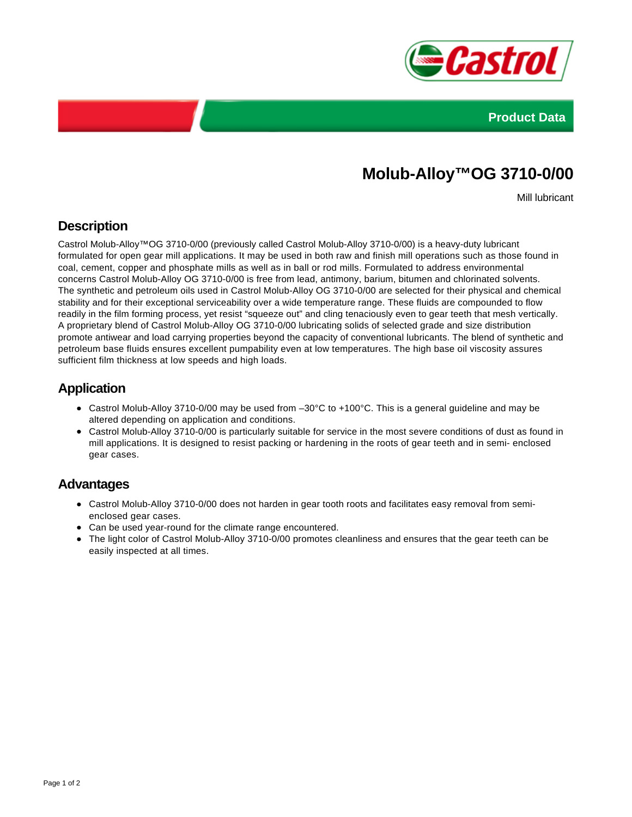



# **Molub-Alloy™OG 3710-0/00**

Mill lubricant

## **Description**

Castrol Molub-Alloy™OG 3710-0/00 (previously called Castrol Molub-Alloy 3710-0/00) is a heavy-duty lubricant formulated for open gear mill applications. It may be used in both raw and finish mill operations such as those found in coal, cement, copper and phosphate mills as well as in ball or rod mills. Formulated to address environmental concerns Castrol Molub-Alloy OG 3710-0/00 is free from lead, antimony, barium, bitumen and chlorinated solvents. The synthetic and petroleum oils used in Castrol Molub-Alloy OG 3710-0/00 are selected for their physical and chemical stability and for their exceptional serviceability over a wide temperature range. These fluids are compounded to flow readily in the film forming process, yet resist "squeeze out" and cling tenaciously even to gear teeth that mesh vertically. A proprietary blend of Castrol Molub-Alloy OG 3710-0/00 lubricating solids of selected grade and size distribution promote antiwear and load carrying properties beyond the capacity of conventional lubricants. The blend of synthetic and petroleum base fluids ensures excellent pumpability even at low temperatures. The high base oil viscosity assures sufficient film thickness at low speeds and high loads.

#### **Application**

- Castrol Molub-Alloy 3710-0/00 may be used from –30°C to +100°C. This is a general guideline and may be altered depending on application and conditions.
- Castrol Molub-Alloy 3710-0/00 is particularly suitable for service in the most severe conditions of dust as found in mill applications. It is designed to resist packing or hardening in the roots of gear teeth and in semi- enclosed gear cases.

#### **Advantages**

- Castrol Molub-Alloy 3710-0/00 does not harden in gear tooth roots and facilitates easy removal from semienclosed gear cases.
- Can be used year-round for the climate range encountered.
- The light color of Castrol Molub-Alloy 3710-0/00 promotes cleanliness and ensures that the gear teeth can be easily inspected at all times.